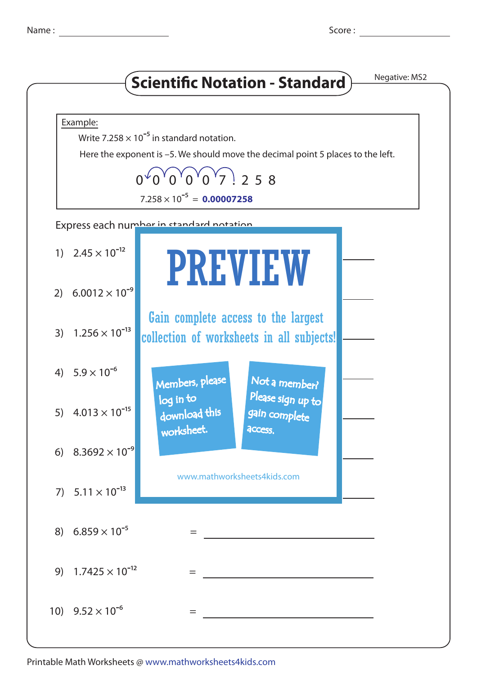